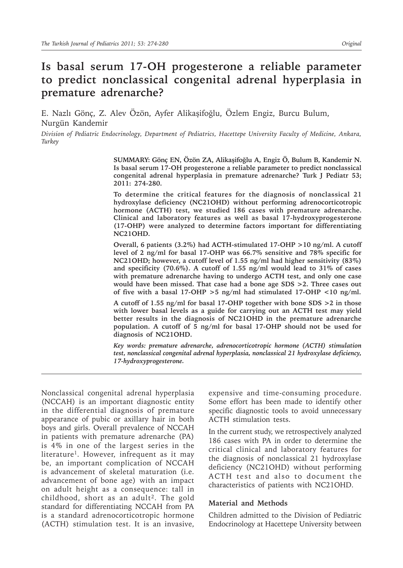# **Is basal serum 17-OH progesterone a reliable parameter to predict nonclassical congenital adrenal hyperplasia in premature adrenarche?**

E. Nazlı Gönç, Z. Alev Özön, Ayfer Alikaşifoğlu, Özlem Engiz, Burcu Bulum, Nurgün Kandemir

*Division of Pediatric Endocrinology, Department of Pediatrics, Hacettepe University Faculty of Medicine, Ankara, Turkey*

> **SUMMARY: Gönç EN, Özön ZA, Alikaşifoğlu A, Engiz Ö, Bulum B, Kandemir N. Is basal serum 17-OH progesterone a reliable parameter to predict nonclassical congenital adrenal hyperplasia in premature adrenarche? Turk J Pediatr 53; 2011: 274-280.**

> **To determine the critical features for the diagnosis of nonclassical 21 hydroxylase deficiency (NC21OHD) without performing adrenocorticotropic hormone (ACTH) test, we studied 186 cases with premature adrenarche. Clinical and laboratory features as well as basal 17-hydroxyprogesterone (17-OHP) were analyzed to determine factors important for differentiating NC21OHD.**

> **Overall, 6 patients (3.2%) had ACTH-stimulated 17-OHP >10 ng/ml. A cutoff level of 2 ng/ml for basal 17-OHP was 66.7% sensitive and 78% specific for NC21OHD; however, a cutoff level of 1.55 ng/ml had higher sensitivity (83%) and specificity (70.6%). A cutoff of 1.55 ng/ml would lead to 31% of cases with premature adrenarche having to undergo ACTH test, and only one case would have been missed. That case had a bone age SDS >2. Three cases out of five with a basal 17-OHP >5 ng/ml had stimulated 17-OHP <10 ng/ml.**

> **A cutoff of 1.55 ng/ml for basal 17-OHP together with bone SDS >2 in those with lower basal levels as a guide for carrying out an ACTH test may yield better results in the diagnosis of NC21OHD in the premature adrenarche population. A cutoff of 5 ng/ml for basal 17-OHP should not be used for diagnosis of NC21OHD.**

> *Key words: premature adrenarche, adrenocorticotropic hormone (ACTH) stimulation test, nonclassical congenital adrenal hyperplasia, nonclassical 21 hydroxylase deficiency, 17-hydroxyprogesterone.*

Nonclassical congenital adrenal hyperplasia (NCCAH) is an important diagnostic entity in the differential diagnosis of premature appearance of pubic or axillary hair in both boys and girls. Overall prevalence of NCCAH in patients with premature adrenarche (PA) is 4% in one of the largest series in the literature<sup>1</sup>. However, infrequent as it may be, an important complication of NCCAH is advancement of skeletal maturation (i.e. advancement of bone age) with an impact on adult height as a consequence: tall in childhood, short as an adult<sup>2</sup>. The gold standard for differentiating NCCAH from PA is a standard adrenocorticotropic hormone (ACTH) stimulation test. It is an invasive,

expensive and time-consuming procedure. Some effort has been made to identify other specific diagnostic tools to avoid unnecessary ACTH stimulation tests.

In the current study, we retrospectively analyzed 186 cases with PA in order to determine the critical clinical and laboratory features for the diagnosis of nonclassical 21 hydroxylase deficiency (NC21OHD) without performing ACTH test and also to document the characteristics of patients with NC21OHD.

# **Material and Methods**

Children admitted to the Division of Pediatric Endocrinology at Hacettepe University between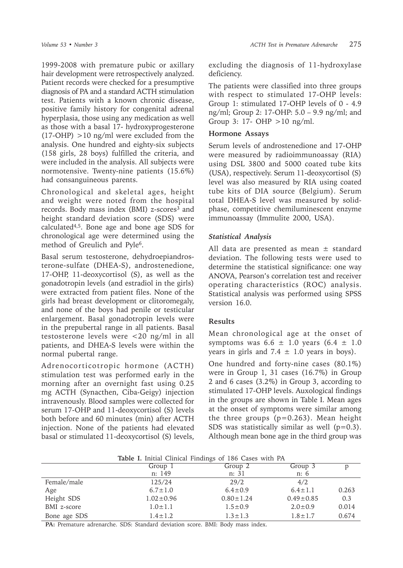1999-2008 with premature pubic or axillary hair development were retrospectively analyzed. Patient records were checked for a presumptive diagnosis of PA and a standard ACTH stimulation test. Patients with a known chronic disease, positive family history for congenital adrenal hyperplasia, those using any medication as well as those with a basal 17- hydroxyprogesterone  $(17-OHP) > 10$  ng/ml were excluded from the analysis. One hundred and eighty-six subjects (158 girls, 28 boys) fulfilled the criteria, and were included in the analysis. All subjects were normotensive. Twenty-nine patients (15.6%) had consanguineous parents.

Chronological and skeletal ages, height and weight were noted from the hospital records. Body mass index (BMI) z-scores<sup>3</sup> and height standard deviation score (SDS) were calculated $4,5$ . Bone age and bone age SDS for chronological age were determined using the method of Greulich and Pyle6.

Basal serum testosterone, dehydroepiandrosterone-sulfate (DHEA-S), androstenedione, 17-OHP, 11-deoxycortisol (S), as well as the gonadotropin levels (and estradiol in the girls) were extracted from patient files. None of the girls had breast development or clitoromegaly, and none of the boys had penile or testicular enlargement. Basal gonadotropin levels were in the prepubertal range in all patients. Basal testosterone levels were <20 ng/ml in all patients, and DHEA-S levels were within the normal pubertal range.

Adrenocorticotropic hormone (ACTH) stimulation test was performed early in the morning after an overnight fast using 0.25 mg ACTH (Synacthen, Ciba-Geigy) injection intravenously. Blood samples were collected for serum 17-OHP and 11-deoxycortisol (S) levels both before and 60 minutes (min) after ACTH injection. None of the patients had elevated basal or stimulated 11-deoxycortisol (S) levels, excluding the diagnosis of 11-hydroxylase deficiency.

The patients were classified into three groups with respect to stimulated 17-OHP levels: Group 1: stimulated 17-OHP levels of 0 - 4.9 ng/ml; Group 2: 17-OHP: 5.0 – 9.9 ng/ml; and Group 3: 17- OHP >10 ng/ml.

# **Hormone Assays**

Serum levels of androstenedione and 17-OHP were measured by radioimmunoassay (RIA) using DSL 3800 and 5000 coated tube kits (USA), respectively. Serum 11-deoxycortisol (S) level was also measured by RIA using coated tube kits of DIA source (Belgium). Serum total DHEA-S level was measured by solidphase, competitive chemiluminescent enzyme immunoassay (Immulite 2000, USA).

# *Statistical Analysis*

All data are presented as mean  $\pm$  standard deviation. The following tests were used to determine the statistical significance: one way ANOVA, Pearson's correlation test and receiver operating characteristics (ROC) analysis. Statistical analysis was performed using SPSS version 16.0.

# **Results**

Mean chronological age at the onset of symptoms was  $6.6 \pm 1.0$  years  $(6.4 \pm 1.0$ years in girls and  $7.4 \pm 1.0$  years in boys).

One hundred and forty-nine cases (80.1%) were in Group 1, 31 cases (16.7%) in Group 2 and 6 cases (3.2%) in Group 3, according to stimulated 17-OHP levels. Auxological findings in the groups are shown in Table I. Mean ages at the onset of symptoms were similar among the three groups  $(p=0.263)$ . Mean height SDS was statistically similar as well  $(p=0.3)$ . Although mean bone age in the third group was

|              | <b>Table 1.</b> Initial Clinical Findings of 186 Cases with PA |                 |                 |       |
|--------------|----------------------------------------------------------------|-----------------|-----------------|-------|
|              | Group 1                                                        | Group 2         | Group 3         |       |
|              | n: 149                                                         | n: 31           | n: 6            |       |
| Female/male  | 125/24                                                         | 29/2            | 4/2             |       |
| Age          | $6.7 \pm 1.0$                                                  | $6.4 \pm 0.9$   | $6.4 \pm 1.1$   | 0.263 |
| Height SDS   | $1.02 \pm 0.96$                                                | $0.80 \pm 1.24$ | $0.49 \pm 0.85$ | 0.3   |
| BMI z-score  | $1.0 \pm 1.1$                                                  | $1.5 \pm 0.9$   | $2.0 \pm 0.9$   | 0.014 |
| Bone age SDS | $1.4 \pm 1.2$                                                  | $1.3 \pm 1.3$   | $1.8 \pm 1.7$   | 0.674 |

**Table I.** Initial Clinical Findings of 186 Cases with PA

**PA:** Premature adrenarche. SDS: Standard deviation score. BMI: Body mass index.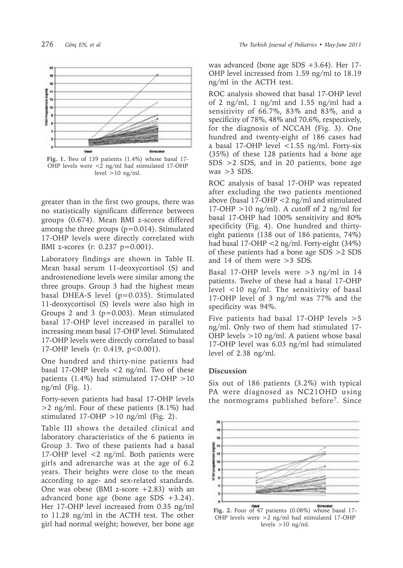

**Fig. 1.** Two of 139 patients (1.4%) whose basal 17- OHP levels were <2 ng/ml had stimulated 17-OHP level  $>10$  ng/ml.

greater than in the first two groups, there was no statistically significant difference between groups (0.674). Mean BMI z-scores differed among the three groups (p=0.014). Stimulated 17-OHP levels were directly correlated with BMI z-scores (r: 0.237 p=0.001).

Laboratory findings are shown in Table II. Mean basal serum 11-deoxycortisol (S) and androstenedione levels were similar among the three groups. Group 3 had the highest mean basal DHEA-S level (p=0.035). Stimulated 11-deoxycortisol (S) levels were also high in Groups 2 and 3 (p=0.003). Mean stimulated basal 17-OHP level increased in parallel to increasing mean basal 17-OHP level. Stimulated 17-OHP levels were directly correlated to basal 17-OHP levels (r: 0.419, p<0.001).

One hundred and thirty-nine patients had basal 17-OHP levels <2 ng/ml. Two of these patients (1.4%) had stimulated 17-OHP >10 ng/ml (Fig. 1).

Forty-seven patients had basal 17-OHP levels >2 ng/ml. Four of these patients (8.1%) had stimulated 17-OHP  $>10$  ng/ml (Fig. 2).

Table III shows the detailed clinical and laboratory characteristics of the 6 patients in Group 3. Two of these patients had a basal 17-OHP level <2 ng/ml. Both patients were girls and adrenarche was at the age of 6.2 years. Their heights were close to the mean according to age- and sex-related standards. One was obese (BMI z-score  $+2.83$ ) with an advanced bone age (bone age SDS  $+3.24$ ). Her 17-OHP level increased from 0.35 ng/ml to 11.28 ng/ml in the ACTH test. The other girl had normal weight; however, her bone age

was advanced (bone age SDS +3.64). Her 17- OHP level increased from 1.59 ng/ml to 18.19 ng/ml in the ACTH test.

ROC analysis showed that basal 17-OHP level of 2 ng/ml, 1 ng/ml and 1.55 ng/ml had a sensitivity of 66.7%, 83% and 83%, and a specificity of 78%, 48% and 70.6%, respectively, for the diagnosis of NCCAH (Fig. 3). One hundred and twenty-eight of 186 cases had a basal 17-OHP level  $<$ 1.55 ng/ml. Forty-six (35%) of these 128 patients had a bone age SDS >2 SDS, and in 20 patients, bone age was  $>3$  SDS.

ROC analysis of basal 17-OHP was repeated after excluding the two patients mentioned above (basal 17-OHP <2 ng/ml and stimulated 17-OHP  $>10$  ng/ml). A cutoff of 2 ng/ml for basal 17-OHP had 100% sensitivity and 80% specificity (Fig. 4). One hundred and thirtyeight patients (138 out of 186 patients, 74%) had basal 17-OHP <2 ng/ml. Forty-eight (34%) of these patients had a bone age SDS >2 SDS and 14 of them were >3 SDS.

Basal 17-OHP levels were >3 ng/ml in 14 patients. Twelve of these had a basal 17-OHP level <10 ng/ml. The sensitivity of basal 17-OHP level of 3 ng/ml was 77% and the specificity was 94%.

Five patients had basal 17-OHP levels >5 ng/ml. Only two of them had stimulated 17- OHP levels >10 ng/ml. A patient whose basal 17-OHP level was 6.03 ng/ml had stimulated level of 2.38 ng/ml.

### **Discussion**

Six out of 186 patients (3.2%) with typical PA were diagnosed as NC21OHD using the normograms published before7. Since



**Fig. 2.** Four of 47 patients (0.08%) whose basal 17- OHP levels were >2 ng/ml had stimulated 17-OHP levels  $>10$  ng/ml.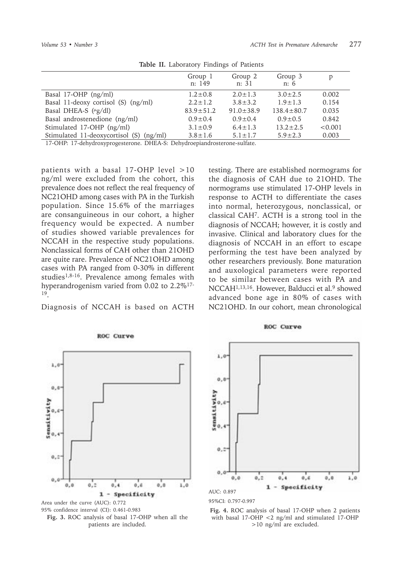|                                            | Group 1<br>n: 149 | Group 2<br>n: 31 | Group 3<br>n:6   | p       |
|--------------------------------------------|-------------------|------------------|------------------|---------|
| Basal 17-OHP $(ng/ml)$                     | $1.2 \pm 0.8$     | $2.0 \pm 1.3$    | $3.0 \pm 2.5$    | 0.002   |
| Basal 11-deoxy cortisol (S) (ng/ml)        | $2.2 \pm 1.2$     | $3.8 \pm 3.2$    | $1.9 \pm 1.3$    | 0.154   |
| Basal DHEA-S ( $\mu$ g/dl)                 | $83.9 \pm 51.2$   | $91.0 \pm 38.9$  | $138.4 \pm 80.7$ | 0.035   |
| Basal androstenedione (ng/ml)              | $0.9 \pm 0.4$     | $0.9 \pm 0.4$    | $0.9 \pm 0.5$    | 0.842   |
| Stimulated 17-OHP (ng/ml)                  | $3.1 \pm 0.9$     | $6.4 \pm 1.3$    | $13.2 \pm 2.5$   | < 0.001 |
| Stimulated 11-deoxycortisol (S)<br>(ng/ml) | $3.8 \pm 1.6$     | $5.1 \pm 1.7$    | $5.9 \pm 2.3$    | 0.003   |

**Table II.** Laboratory Findings of Patients

17-OHP: 17-dehydroxyprogesterone. DHEA-S: Dehydroepiandrosterone-sulfate.

patients with a basal 17-OHP level >10 ng/ml were excluded from the cohort, this prevalence does not reflect the real frequency of NC21OHD among cases with PA in the Turkish population. Since 15.6% of the marriages are consanguineous in our cohort, a higher frequency would be expected. A number of studies showed variable prevalences for NCCAH in the respective study populations. Nonclassical forms of CAH other than 21OHD are quite rare. Prevalence of NC21OHD among cases with PA ranged from 0-30% in different studies1,8-16. Prevalence among females with hyperandrogenism varied from 0.02 to 2.2%<sup>17-</sup> 19.

Diagnosis of NCCAH is based on ACTH

testing. There are established normograms for the diagnosis of CAH due to 21OHD. The normograms use stimulated 17-OHP levels in response to ACTH to differentiate the cases into normal, heterozygous, nonclassical, or classical CAH7. ACTH is a strong tool in the diagnosis of NCCAH; however, it is costly and invasive. Clinical and laboratory clues for the diagnosis of NCCAH in an effort to escape performing the test have been analyzed by other researchers previously. Bone maturation and auxological parameters were reported to be similar between cases with PA and NCCAH<sup>1,13,16</sup>. However, Balducci et al.<sup>9</sup> showed advanced bone age in 80% of cases with NC21OHD. In our cohort, mean chronological



**ROC Curve** 

 $1,0$  $0.0$ iensitivity  $0,6$ ö.  $0, 2$  $0.0$  $0.1$  $1,0$  $0.0$  $0.4$  $0.6$  $0.0$ 1 - Specificity AUC: 0.897

**ROC Curve** 



95% confidence interval (CI): 0.461-0.983 **Fig. 4.** ROC analysis of basal 17-OHP when 2 patients with basal 17-OHP <2 ng/ml and stimulated 17-OHP >10 ng/ml are excluded.

**Fig. 3.** ROC analysis of basal 17-OHP when all the Area under the curve (AUC): 0.772

patients are included.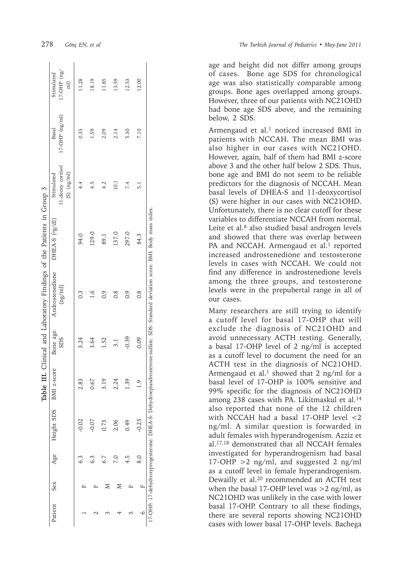|         |     |     |            | Table 1        |                        | III. Clinical and Laboratory Findings of the Patients in Group 3                                                              |                             |                                                    |                             |                                                        |
|---------|-----|-----|------------|----------------|------------------------|-------------------------------------------------------------------------------------------------------------------------------|-----------------------------|----------------------------------------------------|-----------------------------|--------------------------------------------------------|
| Patient | Sex | Age | Height SDS | BMI z-score    | Bone age<br><b>SDS</b> | Androstenedione<br>(ng/ml)                                                                                                    | DHEA-S ( <sup>µg/dl</sup> ) | 11-deoxy cortisol<br>$(S)$ $(ng/ml)$<br>Stimulated | $17-OHP$ $(ng/ml)$<br>Basal | $17$ -OHP $(ng)$<br>Stimulated<br>$\widehat{\text{m}}$ |
|         |     | 6.3 | $-0.02$    | 2.83           | 3.24                   | 0.3                                                                                                                           | 94.0                        | 4.4                                                | 0.35                        | 11.28                                                  |
|         | 山   | 6.3 | $-0.07$    | 0.67           | 3.64                   | $\frac{6}{1}$                                                                                                                 | 129.0                       | 4.5                                                | $-59$                       | 18.19                                                  |
|         | ⋝   | 6.7 | 0.73       | 3.19           | 1.52                   | $\frac{6}{3}$                                                                                                                 | 89.1                        | 4.2                                                | 2.09                        | 11.85                                                  |
|         | Σ   | P.0 | 2.06       | 2.24           | 3.1                    | $\frac{8}{2}$                                                                                                                 | 137.0                       | 10.1                                               | 2.14                        | 13.59                                                  |
| LC.     | ╙   | 4.5 | 0.49       | .<br>39        | $-0.39$                | $\overline{0}$ .                                                                                                              | 297.0                       | 7.4                                                | 5.30                        | 12.53                                                  |
| 9       | Щ   | 8.0 | $-0.25$    | $\overline{6}$ | 0.09                   | $\frac{8}{2}$                                                                                                                 | 84.3                        | 5.1                                                | 7.10                        | 12.00                                                  |
|         |     |     |            |                |                        | 17-OHP: 17-dehydroxyprogesterone. DHEA-S: Dehydroepiandrosterone-sulfate. SDS: Standard deviation score. BMI: Body mass index |                             |                                                    |                             |                                                        |

age and height did not differ among groups of cases. Bone age SDS for chronological age was also statistically comparable among groups. Bone ages overlapped among groups. However, three of our patients with NC21OHD had bone age SDS above, and the remaining below, 2 SDS.

Armengaud et al. 1 noticed increased BMI in patients with NCCAH. The mean BMI was also higher in our cases with NC21OHD. However, again, half of them had BMI z-score above 3 and the other half below 2 SDS. Thus, bone age and BMI do not seem to be reliable predictors for the diagnosis of NCCAH. Mean basal levels of DHEA-S and 11-deoxycortisol (S) were higher in our cases with NC21OHD. Unfortunately, there is no clear cutoff for these variables to differentiate NCCAH from normal. Leite et al. 8 also studied basal androgen levels and showed that there was overlap between PA and NCCAH. Armengaud et al.<sup>1</sup> reported increased androstenedione and testosterone levels in cases with NCCAH. We could not find any difference in androstenedione levels among the three groups, and testosterone levels were in the prepubertal range in all of our cases.

Many researchers are still trying to identify a cutoff level for basal 17-OHP that will exclude the diagnosis of NC21OHD and avoid unnecessary ACTH testing. Generally, a basal 17-OHP level of 2 ng/ml is accepted as a cutoff level to document the need for an ACTH test in the diagnosis of NC21OHD. Armengaud et al. 1 showed that 2 ng/ml for a basal level of 17-OHP is 100% sensitive and 99% specific for the diagnosis of NC21OHD among 238 cases with PA. Likitmaskul et al.<sup>14</sup> also reported that none of the 12 children with NCCAH had a basal 17-OHP level <2 ng/ml. A similar question is forwarded in adult females with hyperandrogenism. Azziz et al.17,18 demonstrated that all NCCAH females investigated for hyperandrogenism had basal 17-OHP >2 ng/ml, and suggested 2 ng/ml as a cutoff level in female hyperandrogenism. Dewailly et al.20 recommended an ACTH test when the basal 17-OHP level was >2 ng/ml, as NC21OHD was unlikely in the case with lower basal 17-OHP. Contrary to all these findings, there are several reports showing NC21OHD cases with lower basal 17-OHP levels. Bachega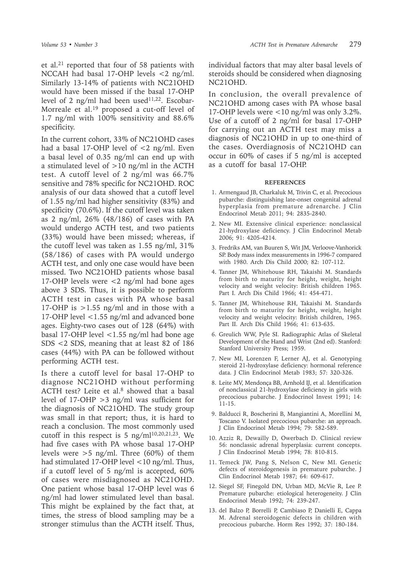et al.21 reported that four of 58 patients with NCCAH had basal 17-OHP levels <2 ng/ml. Similarly 13-14% of patients with NC21OHD would have been missed if the basal 17-OHP level of 2 ng/ml had been used $11,22$ . Escobar-Morreale et al.<sup>19</sup> proposed a cut-off level of 1.7 ng/ml with 100% sensitivity and 88.6% specificity.

In the current cohort, 33% of NC21OHD cases had a basal 17-OHP level of <2 ng/ml. Even a basal level of 0.35 ng/ml can end up with a stimulated level of  $>10$  ng/ml in the ACTH test. A cutoff level of 2 ng/ml was 66.7% sensitive and 78% specific for NC21OHD. ROC analysis of our data showed that a cutoff level of 1.55 ng/ml had higher sensitivity (83%) and specificity (70.6%). If the cutoff level was taken as 2 ng/ml, 26% (48/186) of cases with PA would undergo ACTH test, and two patients (33%) would have been missed; whereas, if the cutoff level was taken as 1.55 ng/ml, 31% (58/186) of cases with PA would undergo ACTH test, and only one case would have been missed. Two NC21OHD patients whose basal 17-OHP levels were <2 ng/ml had bone ages above 3 SDS. Thus, it is possible to perform ACTH test in cases with PA whose basal 17-OHP is  $>1.55$  ng/ml and in those with a 17-OHP level <1.55 ng/ml and advanced bone ages. Eighty-two cases out of 128 (64%) with basal 17-OHP level  $\langle 1.55 \text{ ng/ml had bone age} \rangle$ SDS <2 SDS, meaning that at least 82 of 186 cases (44%) with PA can be followed without performing ACTH test.

Is there a cutoff level for basal 17-OHP to diagnose NC21OHD without performing ACTH test? Leite et al.<sup>8</sup> showed that a basal level of 17-OHP >3 ng/ml was sufficient for the diagnosis of NC21OHD. The study group was small in that report; thus, it is hard to reach a conclusion. The most commonly used cutoff in this respect is 5 ng/m $1^{10,20,21,23}$ . We had five cases with PA whose basal 17-OHP levels were  $>5$  ng/ml. Three (60%) of them had stimulated 17-OHP level <10 ng/ml. Thus, if a cutoff level of 5 ng/ml is accepted, 60% of cases were misdiagnosed as NC21OHD. One patient whose basal 17-OHP level was 6 ng/ml had lower stimulated level than basal. This might be explained by the fact that, at times, the stress of blood sampling may be a stronger stimulus than the ACTH itself. Thus,

individual factors that may alter basal levels of steroids should be considered when diagnosing NC21OHD.

In conclusion, the overall prevalence of NC21OHD among cases with PA whose basal 17-OHP levels were <10 ng/ml was only 3.2%. Use of a cutoff of 2 ng/ml for basal 17-OHP for carrying out an ACTH test may miss a diagnosis of NC21OHD in up to one-third of the cases. Overdiagnosis of NC21OHD can occur in 60% of cases if 5 ng/ml is accepted as a cutoff for basal 17-OHP.

#### **REFERENCES**

- 1. Armengaud JB, Charkaluk M, Trivin C, et al. Precocious pubarche: distinguishing late-onset congenital adrenal hyperplasia from premature adrenarche. J Clin Endocrinol Metab 2011; 94: 2835-2840.
- 2. New MI. Extensive clinical experience: nonclassical 21-hydroxylase deficiency. J Clin Endocrinol Metab 2006; 91: 4205-4214.
- 3. Fredriks AM, van Buuren S, Wit JM, Verloove-Vanhorick SP. Body mass index measurements in 1996-7 compared with 1980. Arch Dis Child 2000; 82: 107-112.
- 4. Tanner JM, Whitehouse RH, Takaishi M. Standards from birth to maturity for height, weight, height velocity and weight velocity: British children 1965. Part I. Arch Dis Child 1966; 41: 454-471.
- 5. Tanner JM, Whitehouse RH, Takaishi M. Standards from birth to maturity for height, weight, height velocity and weight velocity: British children, 1965. Part II. Arch Dis Child 1966; 41: 613-635.
- 6. Greulich WW, Pyle SI. Radiographic Atlas of Skeletal Development of the Hand and Wrist (2nd ed). Stanford: Stanford University Press; 1959.
- 7. New MI, Lorenzen F, Lerner AJ, et al. Genotyping steroid 21-hydroxylase deficiency: hormonal reference data. J Clin Endocrinol Metab 1983; 57: 320-326.
- 8. Leite MV, Mendonça BB, Arnhold IJ, et al. Identification of nonclassical 21-hydroxylase deficiency in girls with precocious pubarche. J Endocrinol Invest 1991; 14: 11-15.
- 9. Balducci R, Boscherini B, Mangiantini A, Morellini M, Toscano V. Isolated precocious pubarche: an approach. J Clin Endocrinol Metab 1994; 79: 582-589.
- 10. Azziz R, Dewailly D, Owerbach D. Clinical review 56: nonclassic adrenal hyperplasia: current concepts. J Clin Endocrinol Metab 1994; 78: 810-815.
- 11. Temeck JW, Pang S, Nelson C, New MI. Genetic defects of steroidogenesis in premature pubarche. J Clin Endocrinol Metab 1987; 64: 609-617.
- 12. Siegel SF, Finegold DN, Urban MD, McVie R, Lee P. Premature pubarche: etiological heterogeneity. J Clin Endocrinol Metab 1992; 74: 239-247.
- 13. del Balzo P, Borrelli P, Cambiaso P, Danielli E, Cappa M. Adrenal steroidogenic defects in children with precocious pubarche. Horm Res 1992; 37: 180-184.